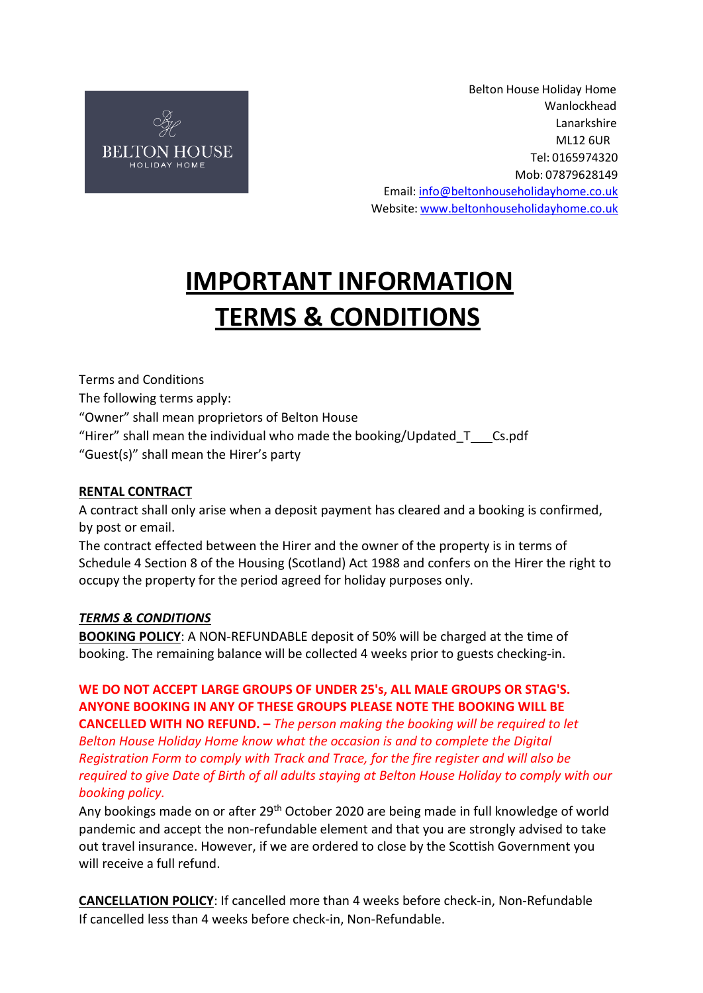

Belton House Holiday Home Wanlockhead Lanarkshire ML12 6UR Tel: 0165974320 Mob: 07879628149 Email[: info@beltonhouseholidayhome.co.uk](mailto:info@beltonhouseholidayhome.co.uk) Website: [www.beltonhouseholidayhome.co.uk](http://www.beltonhouseholidayhome.co.uk/)

# **IMPORTANT INFORMATION TERMS & CONDITIONS**

Terms and Conditions The following terms apply: "Owner" shall mean proprietors of Belton House "Hirer" shall mean the individual who made the booking/Updated  $T_{\text{S}}$ .pdf "Guest(s)" shall mean the Hirer's party

## **RENTAL CONTRACT**

A contract shall only arise when a deposit payment has cleared and a booking is confirmed, by post or email.

The contract effected between the Hirer and the owner of the property is in terms of Schedule 4 Section 8 of the Housing (Scotland) Act 1988 and confers on the Hirer the right to occupy the property for the period agreed for holiday purposes only.

#### *TERMS & CONDITIONS*

**BOOKING POLICY**: A NON-REFUNDABLE deposit of 50% will be charged at the time of booking. The remaining balance will be collected 4 weeks prior to guests checking-in.

# **WE DO NOT ACCEPT LARGE GROUPS OF UNDER 25's, ALL MALE GROUPS OR STAG'S. ANYONE BOOKING IN ANY OF THESE GROUPS PLEASE NOTE THE BOOKING WILL BE**

**CANCELLED WITH NO REFUND. –** *The person making the booking will be required to let Belton House Holiday Home know what the occasion is and to complete the Digital Registration Form to comply with Track and Trace, for the fire register and will also be required to give Date of Birth of all adults staying at Belton House Holiday to comply with our booking policy.*

Any bookings made on or after 29<sup>th</sup> October 2020 are being made in full knowledge of world pandemic and accept the non-refundable element and that you are strongly advised to take out travel insurance. However, if we are ordered to close by the Scottish Government you will receive a full refund.

**CANCELLATION POLICY**: If cancelled more than 4 weeks before check-in, Non-Refundable If cancelled less than 4 weeks before check-in, Non-Refundable.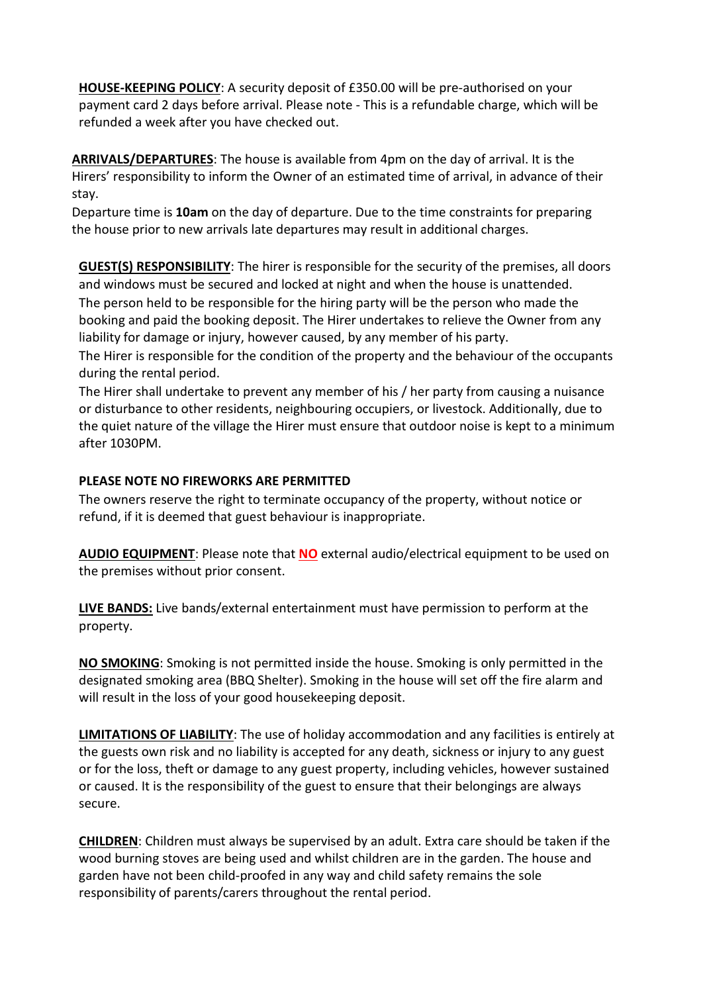**HOUSE-KEEPING POLICY**: A security deposit of £350.00 will be pre-authorised on your payment card 2 days before arrival. Please note - This is a refundable charge, which will be refunded a week after you have checked out.

**ARRIVALS/DEPARTURES**: The house is available from 4pm on the day of arrival. It is the Hirers' responsibility to inform the Owner of an estimated time of arrival, in advance of their stay.

Departure time is **10am** on the day of departure. Due to the time constraints for preparing the house prior to new arrivals late departures may result in additional charges.

**GUEST(S) RESPONSIBILITY**: The hirer is responsible for the security of the premises, all doors and windows must be secured and locked at night and when the house is unattended. The person held to be responsible for the hiring party will be the person who made the booking and paid the booking deposit. The Hirer undertakes to relieve the Owner from any liability for damage or injury, however caused, by any member of his party.

The Hirer is responsible for the condition of the property and the behaviour of the occupants during the rental period.

The Hirer shall undertake to prevent any member of his / her party from causing a nuisance or disturbance to other residents, neighbouring occupiers, or livestock. Additionally, due to the quiet nature of the village the Hirer must ensure that outdoor noise is kept to a minimum after 1030PM.

#### **PLEASE NOTE NO FIREWORKS ARE PERMITTED**

The owners reserve the right to terminate occupancy of the property, without notice or refund, if it is deemed that guest behaviour is inappropriate.

**AUDIO EQUIPMENT**: Please note that **NO** external audio/electrical equipment to be used on the premises without prior consent.

**LIVE BANDS:** Live bands/external entertainment must have permission to perform at the property.

**NO SMOKING**: Smoking is not permitted inside the house. Smoking is only permitted in the designated smoking area (BBQ Shelter). Smoking in the house will set off the fire alarm and will result in the loss of your good housekeeping deposit.

**LIMITATIONS OF LIABILITY**: The use of holiday accommodation and any facilities is entirely at the guests own risk and no liability is accepted for any death, sickness or injury to any guest or for the loss, theft or damage to any guest property, including vehicles, however sustained or caused. It is the responsibility of the guest to ensure that their belongings are always secure.

**CHILDREN**: Children must always be supervised by an adult. Extra care should be taken if the wood burning stoves are being used and whilst children are in the garden. The house and garden have not been child-proofed in any way and child safety remains the sole responsibility of parents/carers throughout the rental period.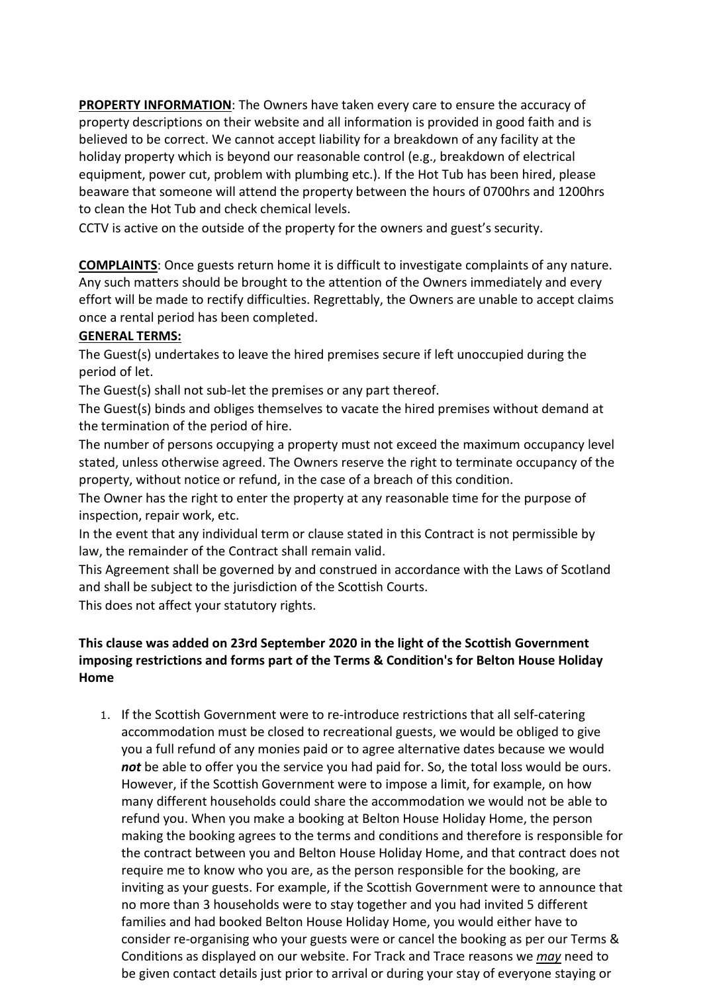**PROPERTY INFORMATION**: The Owners have taken every care to ensure the accuracy of property descriptions on their website and all information is provided in good faith and is believed to be correct. We cannot accept liability for a breakdown of any facility at the holiday property which is beyond our reasonable control (e.g., breakdown of electrical equipment, power cut, problem with plumbing etc.). If the Hot Tub has been hired, please beaware that someone will attend the property between the hours of 0700hrs and 1200hrs to clean the Hot Tub and check chemical levels.

CCTV is active on the outside of the property for the owners and guest's security.

**COMPLAINTS**: Once guests return home it is difficult to investigate complaints of any nature. Any such matters should be brought to the attention of the Owners immediately and every effort will be made to rectify difficulties. Regrettably, the Owners are unable to accept claims once a rental period has been completed.

#### **GENERAL TERMS:**

The Guest(s) undertakes to leave the hired premises secure if left unoccupied during the period of let.

The Guest(s) shall not sub-let the premises or any part thereof.

The Guest(s) binds and obliges themselves to vacate the hired premises without demand at the termination of the period of hire.

The number of persons occupying a property must not exceed the maximum occupancy level stated, unless otherwise agreed. The Owners reserve the right to terminate occupancy of the property, without notice or refund, in the case of a breach of this condition.

The Owner has the right to enter the property at any reasonable time for the purpose of inspection, repair work, etc.

In the event that any individual term or clause stated in this Contract is not permissible by law, the remainder of the Contract shall remain valid.

This Agreement shall be governed by and construed in accordance with the Laws of Scotland and shall be subject to the jurisdiction of the Scottish Courts.

This does not affect your statutory rights.

## **This clause was added on 23rd September 2020 in the light of the Scottish Government imposing restrictions and forms part of the Terms & Condition's for Belton House Holiday Home**

1. If the Scottish Government were to re-introduce restrictions that all self-catering accommodation must be closed to recreational guests, we would be obliged to give you a full refund of any monies paid or to agree alternative dates because we would not be able to offer you the service you had paid for. So, the total loss would be ours. However, if the Scottish Government were to impose a limit, for example, on how many different households could share the accommodation we would not be able to refund you. When you make a booking at Belton House Holiday Home, the person making the booking agrees to the terms and conditions and therefore is responsible for the contract between you and Belton House Holiday Home, and that contract does not require me to know who you are, as the person responsible for the booking, are inviting as your guests. For example, if the Scottish Government were to announce that no more than 3 households were to stay together and you had invited 5 different families and had booked Belton House Holiday Home, you would either have to consider re-organising who your guests were or cancel the booking as per our Terms & Conditions as displayed on our website. For Track and Trace reasons we *may* need to be given contact details just prior to arrival or during your stay of everyone staying or